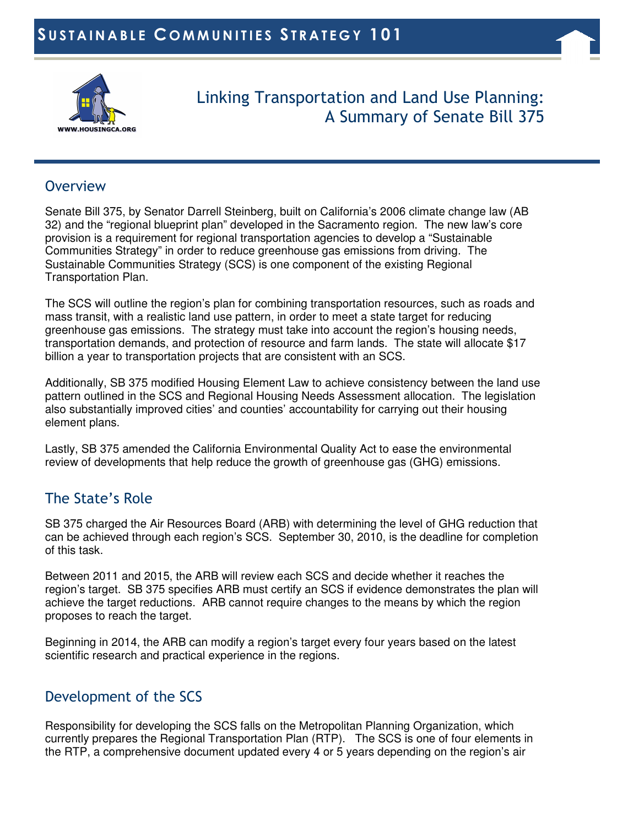



 Linking Transportation and Land Use Planning: A Summary of Senate Bill 375

#### **Overview**

Senate Bill 375, by Senator Darrell Steinberg, built on California's 2006 climate change law (AB 32) and the "regional blueprint plan" developed in the Sacramento region. The new law's core provision is a requirement for regional transportation agencies to develop a "Sustainable Communities Strategy" in order to reduce greenhouse gas emissions from driving. The Sustainable Communities Strategy (SCS) is one component of the existing Regional Transportation Plan.

The SCS will outline the region's plan for combining transportation resources, such as roads and mass transit, with a realistic land use pattern, in order to meet a state target for reducing greenhouse gas emissions. The strategy must take into account the region's housing needs, transportation demands, and protection of resource and farm lands. The state will allocate \$17 billion a year to transportation projects that are consistent with an SCS.

Additionally, SB 375 modified Housing Element Law to achieve consistency between the land use pattern outlined in the SCS and Regional Housing Needs Assessment allocation. The legislation also substantially improved cities' and counties' accountability for carrying out their housing element plans.

Lastly, SB 375 amended the California Environmental Quality Act to ease the environmental review of developments that help reduce the growth of greenhouse gas (GHG) emissions.

# The State's Role

SB 375 charged the Air Resources Board (ARB) with determining the level of GHG reduction that can be achieved through each region's SCS. September 30, 2010, is the deadline for completion of this task.

Between 2011 and 2015, the ARB will review each SCS and decide whether it reaches the region's target. SB 375 specifies ARB must certify an SCS if evidence demonstrates the plan will achieve the target reductions. ARB cannot require changes to the means by which the region proposes to reach the target.

Beginning in 2014, the ARB can modify a region's target every four years based on the latest scientific research and practical experience in the regions.

### Development of the SCS

Responsibility for developing the SCS falls on the Metropolitan Planning Organization, which currently prepares the Regional Transportation Plan (RTP). The SCS is one of four elements in the RTP, a comprehensive document updated every 4 or 5 years depending on the region's air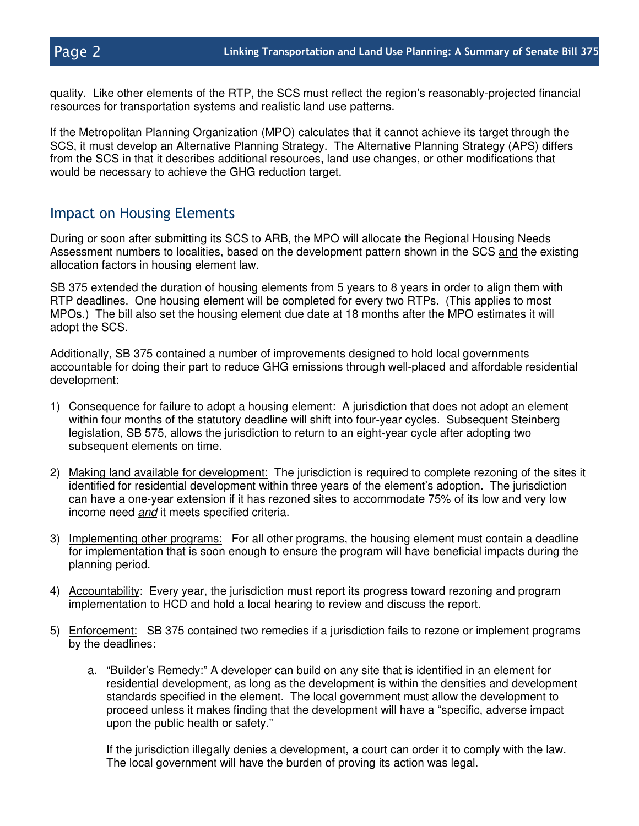quality. Like other elements of the RTP, the SCS must reflect the region's reasonably-projected financial resources for transportation systems and realistic land use patterns.

If the Metropolitan Planning Organization (MPO) calculates that it cannot achieve its target through the SCS, it must develop an Alternative Planning Strategy. The Alternative Planning Strategy (APS) differs from the SCS in that it describes additional resources, land use changes, or other modifications that would be necessary to achieve the GHG reduction target.

#### Impact on Housing Elements

During or soon after submitting its SCS to ARB, the MPO will allocate the Regional Housing Needs Assessment numbers to localities, based on the development pattern shown in the SCS and the existing allocation factors in housing element law.

SB 375 extended the duration of housing elements from 5 years to 8 years in order to align them with RTP deadlines. One housing element will be completed for every two RTPs. (This applies to most MPOs.) The bill also set the housing element due date at 18 months after the MPO estimates it will adopt the SCS.

Additionally, SB 375 contained a number of improvements designed to hold local governments accountable for doing their part to reduce GHG emissions through well-placed and affordable residential development:

- 1) Consequence for failure to adopt a housing element: A jurisdiction that does not adopt an element within four months of the statutory deadline will shift into four-year cycles. Subsequent Steinberg legislation, SB 575, allows the jurisdiction to return to an eight-year cycle after adopting two subsequent elements on time.
- 2) Making land available for development: The jurisdiction is required to complete rezoning of the sites it identified for residential development within three years of the element's adoption. The jurisdiction can have a one-year extension if it has rezoned sites to accommodate 75% of its low and very low income need and it meets specified criteria.
- 3) Implementing other programs: For all other programs, the housing element must contain a deadline for implementation that is soon enough to ensure the program will have beneficial impacts during the planning period.
- 4) Accountability: Every year, the jurisdiction must report its progress toward rezoning and program implementation to HCD and hold a local hearing to review and discuss the report.
- 5) Enforcement: SB 375 contained two remedies if a jurisdiction fails to rezone or implement programs by the deadlines:
	- a. "Builder's Remedy:" A developer can build on any site that is identified in an element for residential development, as long as the development is within the densities and development standards specified in the element. The local government must allow the development to proceed unless it makes finding that the development will have a "specific, adverse impact upon the public health or safety."

If the jurisdiction illegally denies a development, a court can order it to comply with the law. The local government will have the burden of proving its action was legal.